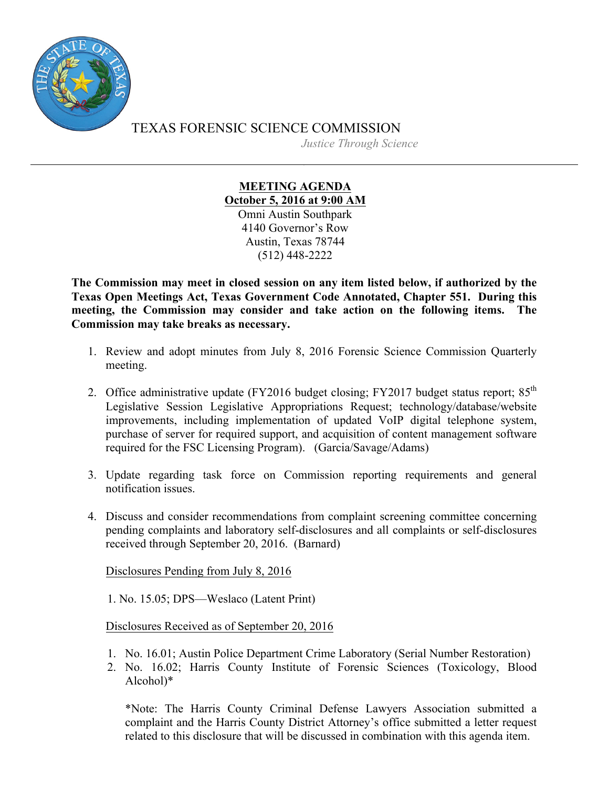

TEXAS FORENSIC SCIENCE COMMISSION *Justice Through Science*

> **MEETING AGENDA October 5, 2016 at 9:00 AM** Omni Austin Southpark 4140 Governor's Row Austin, Texas 78744 (512) 448-2222

**The Commission may meet in closed session on any item listed below, if authorized by the Texas Open Meetings Act, Texas Government Code Annotated, Chapter 551. During this meeting, the Commission may consider and take action on the following items. The Commission may take breaks as necessary.**

- 1. Review and adopt minutes from July 8, 2016 Forensic Science Commission Quarterly meeting.
- 2. Office administrative update (FY2016 budget closing; FY2017 budget status report;  $85<sup>th</sup>$ Legislative Session Legislative Appropriations Request; technology/database/website improvements, including implementation of updated VoIP digital telephone system, purchase of server for required support, and acquisition of content management software required for the FSC Licensing Program). (Garcia/Savage/Adams)
- 3. Update regarding task force on Commission reporting requirements and general notification issues.
- 4. Discuss and consider recommendations from complaint screening committee concerning pending complaints and laboratory self-disclosures and all complaints or self-disclosures received through September 20, 2016. (Barnard)

Disclosures Pending from July 8, 2016

1. No. 15.05; DPS—Weslaco (Latent Print)

Disclosures Received as of September 20, 2016

- 1. No. 16.01; Austin Police Department Crime Laboratory (Serial Number Restoration)
- 2. No. 16.02; Harris County Institute of Forensic Sciences (Toxicology, Blood Alcohol)\*

\*Note: The Harris County Criminal Defense Lawyers Association submitted a complaint and the Harris County District Attorney's office submitted a letter request related to this disclosure that will be discussed in combination with this agenda item.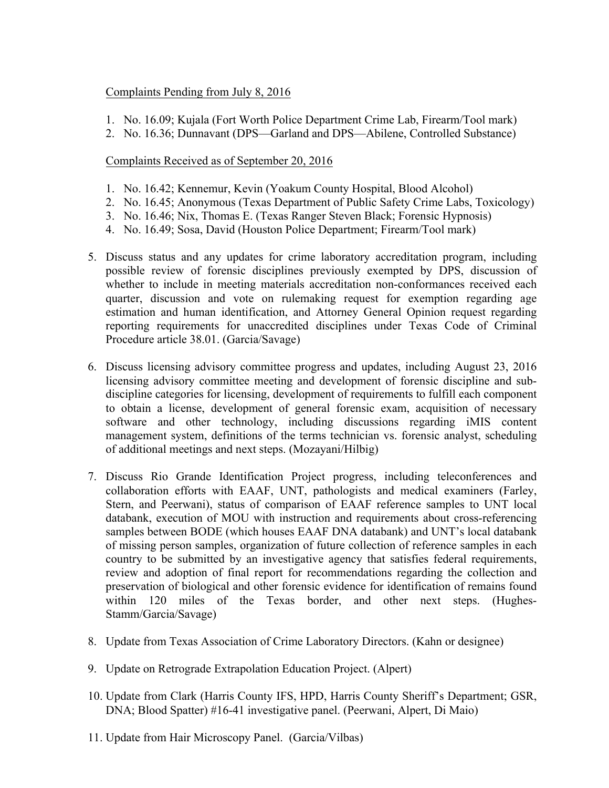## Complaints Pending from July 8, 2016

- 1. No. 16.09; Kujala (Fort Worth Police Department Crime Lab, Firearm/Tool mark)
- 2. No. 16.36; Dunnavant (DPS—Garland and DPS—Abilene, Controlled Substance)

## Complaints Received as of September 20, 2016

- 1. No. 16.42; Kennemur, Kevin (Yoakum County Hospital, Blood Alcohol)
- 2. No. 16.45; Anonymous (Texas Department of Public Safety Crime Labs, Toxicology)
- 3. No. 16.46; Nix, Thomas E. (Texas Ranger Steven Black; Forensic Hypnosis)
- 4. No. 16.49; Sosa, David (Houston Police Department; Firearm/Tool mark)
- 5. Discuss status and any updates for crime laboratory accreditation program, including possible review of forensic disciplines previously exempted by DPS, discussion of whether to include in meeting materials accreditation non-conformances received each quarter, discussion and vote on rulemaking request for exemption regarding age estimation and human identification, and Attorney General Opinion request regarding reporting requirements for unaccredited disciplines under Texas Code of Criminal Procedure article 38.01. (Garcia/Savage)
- 6. Discuss licensing advisory committee progress and updates, including August 23, 2016 licensing advisory committee meeting and development of forensic discipline and subdiscipline categories for licensing, development of requirements to fulfill each component to obtain a license, development of general forensic exam, acquisition of necessary software and other technology, including discussions regarding iMIS content management system, definitions of the terms technician vs. forensic analyst, scheduling of additional meetings and next steps. (Mozayani/Hilbig)
- 7. Discuss Rio Grande Identification Project progress, including teleconferences and collaboration efforts with EAAF, UNT, pathologists and medical examiners (Farley, Stern, and Peerwani), status of comparison of EAAF reference samples to UNT local databank, execution of MOU with instruction and requirements about cross-referencing samples between BODE (which houses EAAF DNA databank) and UNT's local databank of missing person samples, organization of future collection of reference samples in each country to be submitted by an investigative agency that satisfies federal requirements, review and adoption of final report for recommendations regarding the collection and preservation of biological and other forensic evidence for identification of remains found within 120 miles of the Texas border, and other next steps. (Hughes-Stamm/Garcia/Savage)
- 8. Update from Texas Association of Crime Laboratory Directors. (Kahn or designee)
- 9. Update on Retrograde Extrapolation Education Project. (Alpert)
- 10. Update from Clark (Harris County IFS, HPD, Harris County Sheriff's Department; GSR, DNA; Blood Spatter) #16-41 investigative panel. (Peerwani, Alpert, Di Maio)
- 11. Update from Hair Microscopy Panel. (Garcia/Vilbas)